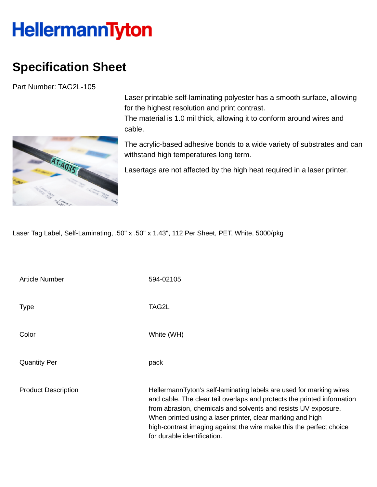## **HellermannTyton**

## **Specification Sheet**

Part Number: TAG2L-105



Laser printable self-laminating polyester has a smooth surface, allowing for the highest resolution and print contrast. The material is 1.0 mil thick, allowing it to conform around wires and

cable.

The acrylic-based adhesive bonds to a wide variety of substrates and can withstand high temperatures long term.

Lasertags are not affected by the high heat required in a laser printer.

Laser Tag Label, Self-Laminating, .50" x .50" x 1.43", 112 Per Sheet, PET, White, 5000/pkg

Article Number 594-02105 Type **The TAG2L** Color White (WH) Quantity Per **pack** Product Description **HellermannTyton's self-laminating labels are used for marking wires** and cable. The clear tail overlaps and protects the printed information from abrasion, chemicals and solvents and resists UV exposure. When printed using a laser printer, clear marking and high high-contrast imaging against the wire make this the perfect choice for durable identification.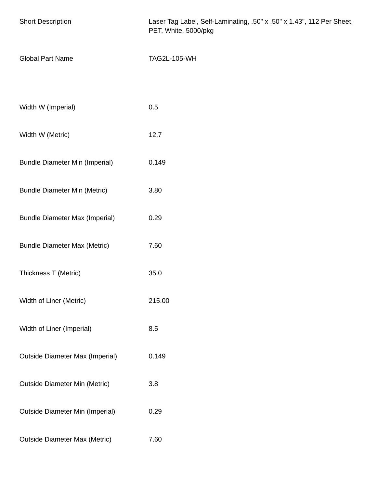| <b>Short Description</b>               | Laser Tag Label, Self-Laminating, .50" x .50" x 1.43", 112 Per Sheet,<br>PET, White, 5000/pkg |
|----------------------------------------|-----------------------------------------------------------------------------------------------|
| <b>Global Part Name</b>                | <b>TAG2L-105-WH</b>                                                                           |
|                                        |                                                                                               |
| Width W (Imperial)                     | 0.5                                                                                           |
| Width W (Metric)                       | 12.7                                                                                          |
| <b>Bundle Diameter Min (Imperial)</b>  | 0.149                                                                                         |
| <b>Bundle Diameter Min (Metric)</b>    | 3.80                                                                                          |
| <b>Bundle Diameter Max (Imperial)</b>  | 0.29                                                                                          |
| <b>Bundle Diameter Max (Metric)</b>    | 7.60                                                                                          |
| Thickness T (Metric)                   | 35.0                                                                                          |
| Width of Liner (Metric)                | 215.00                                                                                        |
| Width of Liner (Imperial)              | 8.5                                                                                           |
| <b>Outside Diameter Max (Imperial)</b> | 0.149                                                                                         |
| <b>Outside Diameter Min (Metric)</b>   | 3.8                                                                                           |
| <b>Outside Diameter Min (Imperial)</b> | 0.29                                                                                          |
| <b>Outside Diameter Max (Metric)</b>   | 7.60                                                                                          |